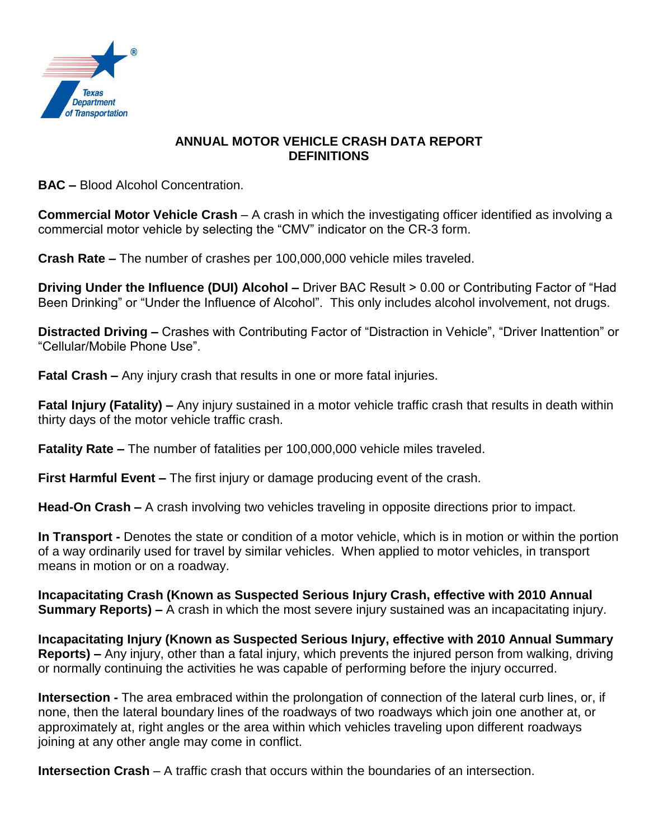

## **ANNUAL MOTOR VEHICLE CRASH DATA REPORT DEFINITIONS**

**BAC –** Blood Alcohol Concentration.

**Commercial Motor Vehicle Crash** – A crash in which the investigating officer identified as involving a commercial motor vehicle by selecting the "CMV" indicator on the CR-3 form.

**Crash Rate –** The number of crashes per 100,000,000 vehicle miles traveled.

**Driving Under the Influence (DUI) Alcohol –** Driver BAC Result > 0.00 or Contributing Factor of "Had Been Drinking" or "Under the Influence of Alcohol". This only includes alcohol involvement, not drugs.

**Distracted Driving –** Crashes with Contributing Factor of "Distraction in Vehicle", "Driver Inattention" or "Cellular/Mobile Phone Use".

**Fatal Crash –** Any injury crash that results in one or more fatal injuries.

**Fatal Injury (Fatality) –** Any injury sustained in a motor vehicle traffic crash that results in death within thirty days of the motor vehicle traffic crash.

**Fatality Rate –** The number of fatalities per 100,000,000 vehicle miles traveled.

**First Harmful Event –** The first injury or damage producing event of the crash.

**Head-On Crash –** A crash involving two vehicles traveling in opposite directions prior to impact.

**In Transport -** Denotes the state or condition of a motor vehicle, which is in motion or within the portion of a way ordinarily used for travel by similar vehicles. When applied to motor vehicles, in transport means in motion or on a roadway.

**Incapacitating Crash (Known as Suspected Serious Injury Crash, effective with 2010 Annual Summary Reports) –** A crash in which the most severe injury sustained was an incapacitating injury.

**Incapacitating Injury (Known as Suspected Serious Injury, effective with 2010 Annual Summary Reports) –** Any injury, other than a fatal injury, which prevents the injured person from walking, driving or normally continuing the activities he was capable of performing before the injury occurred.

**Intersection -** The area embraced within the prolongation of connection of the lateral curb lines, or, if none, then the lateral boundary lines of the roadways of two roadways which join one another at, or approximately at, right angles or the area within which vehicles traveling upon different roadways joining at any other angle may come in conflict.

**Intersection Crash** – A traffic crash that occurs within the boundaries of an intersection.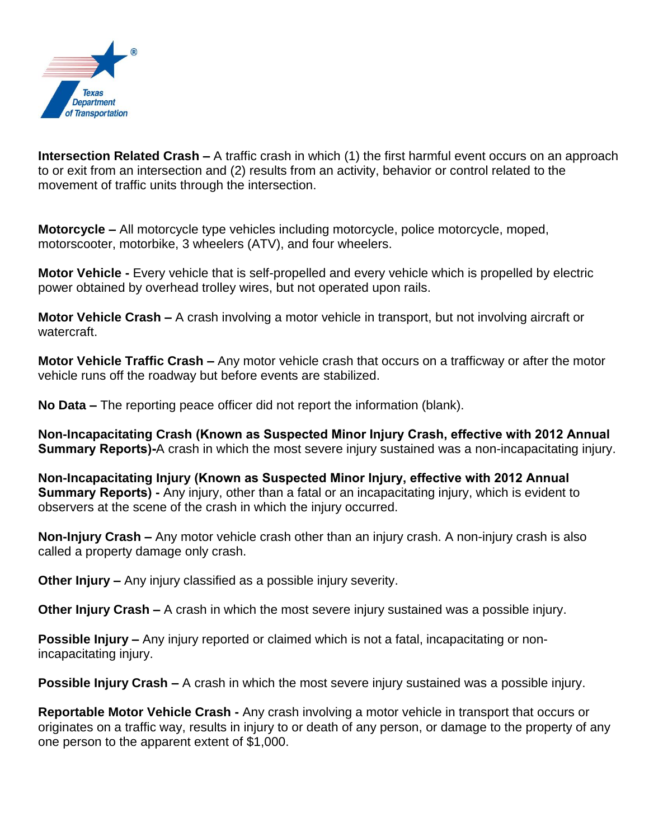

**Intersection Related Crash –** A traffic crash in which (1) the first harmful event occurs on an approach to or exit from an intersection and (2) results from an activity, behavior or control related to the movement of traffic units through the intersection.

**Motorcycle –** All motorcycle type vehicles including motorcycle, police motorcycle, moped, motorscooter, motorbike, 3 wheelers (ATV), and four wheelers.

**Motor Vehicle -** Every vehicle that is self-propelled and every vehicle which is propelled by electric power obtained by overhead trolley wires, but not operated upon rails.

**Motor Vehicle Crash –** A crash involving a motor vehicle in transport, but not involving aircraft or watercraft.

**Motor Vehicle Traffic Crash –** Any motor vehicle crash that occurs on a trafficway or after the motor vehicle runs off the roadway but before events are stabilized.

**No Data –** The reporting peace officer did not report the information (blank).

**Non-Incapacitating Crash (Known as Suspected Minor Injury Crash, effective with 2012 Annual Summary Reports)-**A crash in which the most severe injury sustained was a non-incapacitating injury.

**Non-Incapacitating Injury (Known as Suspected Minor Injury, effective with 2012 Annual Summary Reports) -** Any injury, other than a fatal or an incapacitating injury, which is evident to observers at the scene of the crash in which the injury occurred.

**Non-Injury Crash –** Any motor vehicle crash other than an injury crash. A non-injury crash is also called a property damage only crash.

**Other Injury –** Any injury classified as a possible injury severity.

**Other Injury Crash –** A crash in which the most severe injury sustained was a possible injury.

**Possible Injury –** Any injury reported or claimed which is not a fatal, incapacitating or nonincapacitating injury.

**Possible Injury Crash –** A crash in which the most severe injury sustained was a possible injury.

**Reportable Motor Vehicle Crash -** Any crash involving a motor vehicle in transport that occurs or originates on a traffic way, results in injury to or death of any person, or damage to the property of any one person to the apparent extent of \$1,000.